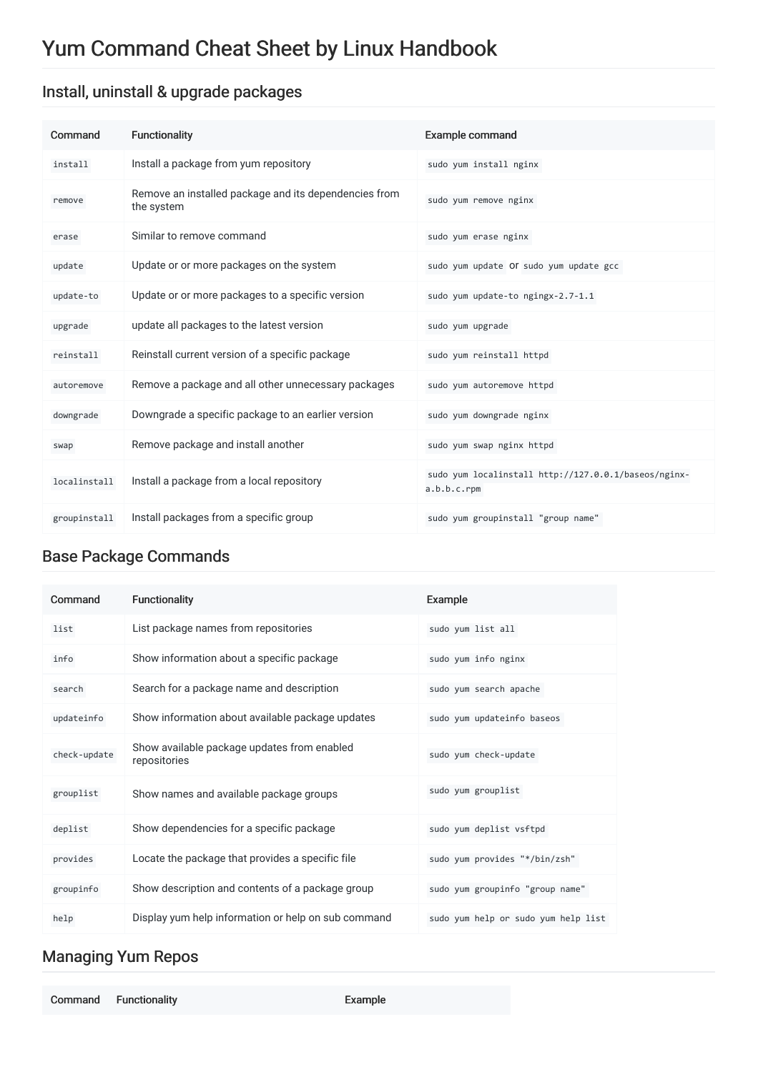# Yum Command Cheat Sheet by Linux Handbook

#### Install, uninstall & upgrade packages

| Command      | <b>Functionality</b>                                                | <b>Example command</b>                                              |
|--------------|---------------------------------------------------------------------|---------------------------------------------------------------------|
| install      | Install a package from yum repository                               | sudo yum install nginx                                              |
| remove       | Remove an installed package and its dependencies from<br>the system | sudo yum remove nginx                                               |
| erase        | Similar to remove command                                           | sudo yum erase nginx                                                |
| update       | Update or or more packages on the system                            | sudo yum update OI sudo yum update gcc                              |
| update-to    | Update or or more packages to a specific version                    | sudo yum update-to ngingx-2.7-1.1                                   |
| upgrade      | update all packages to the latest version                           | sudo yum upgrade                                                    |
| reinstall    | Reinstall current version of a specific package                     | sudo yum reinstall httpd                                            |
| autoremove   | Remove a package and all other unnecessary packages                 | sudo yum autoremove httpd                                           |
| downgrade    | Downgrade a specific package to an earlier version                  | sudo yum downgrade nginx                                            |
| swap         | Remove package and install another                                  | sudo yum swap nginx httpd                                           |
| localinstall | Install a package from a local repository                           | sudo yum localinstall http://127.0.0.1/baseos/nginx-<br>a.b.b.c.rpm |
| groupinstall | Install packages from a specific group                              | sudo yum groupinstall "group name"                                  |

#### Base Package Commands

| Command      | <b>Functionality</b>                                        | Example                             |
|--------------|-------------------------------------------------------------|-------------------------------------|
| list         | List package names from repositories                        | sudo yum list all                   |
| info         | Show information about a specific package                   | sudo yum info nginx                 |
| search       | Search for a package name and description                   | sudo yum search apache              |
| updateinfo   | Show information about available package updates            | sudo yum updateinfo baseos          |
| check-update | Show available package updates from enabled<br>repositories | sudo yum check-update               |
| grouplist    | Show names and available package groups                     | sudo yum grouplist                  |
| deplist      | Show dependencies for a specific package                    | sudo yum deplist vsftpd             |
| provides     | Locate the package that provides a specific file            | sudo yum provides "*/bin/zsh"       |
| groupinfo    | Show description and contents of a package group            | sudo yum groupinfo "group name"     |
| help         | Display yum help information or help on sub command         | sudo yum help or sudo yum help list |

#### Managing Yum Repos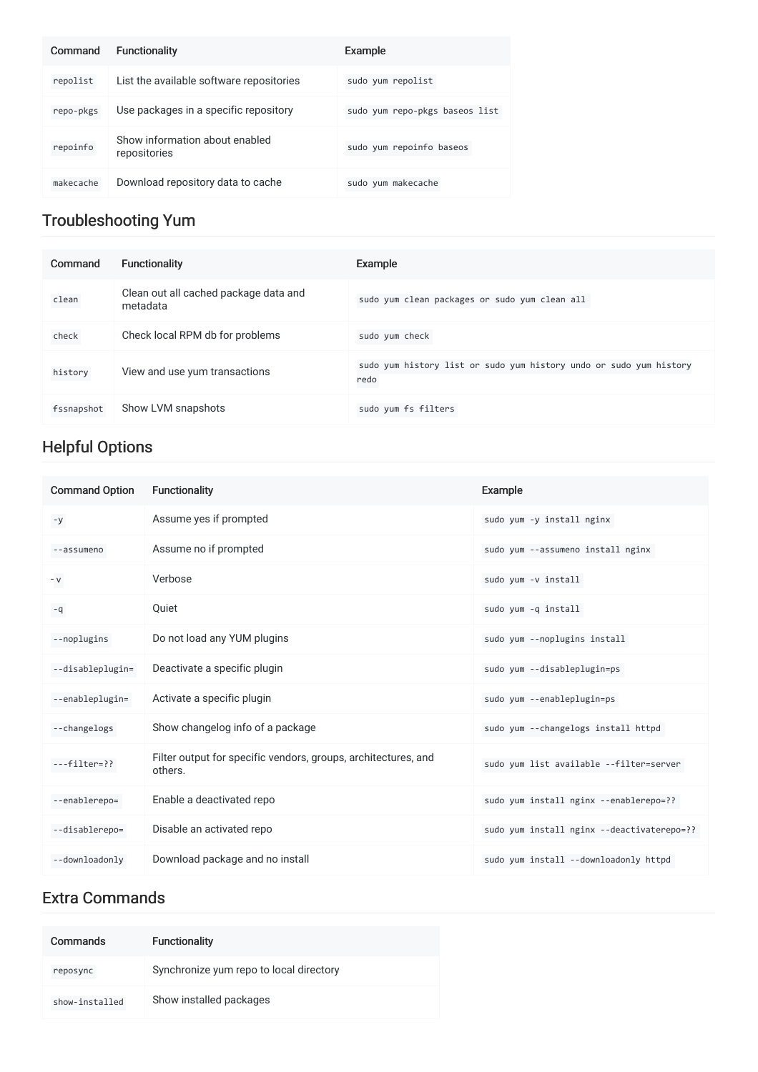| Command   | <b>Functionality</b>                           | Example                        |
|-----------|------------------------------------------------|--------------------------------|
| repolist  | List the available software repositories       | sudo yum repolist              |
| repo-pkgs | Use packages in a specific repository          | sudo yum repo-pkgs baseos list |
| repoinfo  | Show information about enabled<br>repositories | sudo yum repoinfo baseos       |
| makecache | Download repository data to cache              | sudo yum makecache             |

### Troubleshooting Yum

| Command    | Functionality                                     | Example                                                                    |
|------------|---------------------------------------------------|----------------------------------------------------------------------------|
| clean      | Clean out all cached package data and<br>metadata | sudo yum clean packages or sudo yum clean all                              |
| check      | Check local RPM db for problems                   | sudo yum check                                                             |
| history    | View and use yum transactions                     | sudo yum history list or sudo yum history undo or sudo yum history<br>redo |
| fssnapshot | Show LVM snapshots                                | sudo yum fs filters                                                        |

## Helpful Options

| <b>Command Option</b> | Functionality                                                             | Example                                    |
|-----------------------|---------------------------------------------------------------------------|--------------------------------------------|
| $-y$                  | Assume yes if prompted                                                    | sudo yum -y install nginx                  |
| --assumeno            | Assume no if prompted                                                     | sudo yum --assumeno install nginx          |
| $-V$                  | Verbose                                                                   | sudo yum -v install                        |
| $-q$                  | Quiet                                                                     | sudo yum -q install                        |
| --noplugins           | Do not load any YUM plugins                                               | sudo yum --noplugins install               |
| --disableplugin=      | Deactivate a specific plugin                                              | sudo yum --disableplugin=ps                |
| --enableplugin=       | Activate a specific plugin                                                | sudo yum --enableplugin=ps                 |
| --changelogs          | Show changelog info of a package                                          | sudo yum --changelogs install httpd        |
| $--filter=??$         | Filter output for specific vendors, groups, architectures, and<br>others. | sudo yum list available --filter=server    |
| --enablerepo=         | Enable a deactivated repo                                                 | sudo yum install nginx --enablerepo=??     |
| --disablerepo=        | Disable an activated repo                                                 | sudo yum install nginx --deactivaterepo=?? |
| --downloadonly        | Download package and no install                                           | sudo yum install --downloadonly httpd      |

#### Extra Commands

| Commands       | <b>Functionality</b>                    |
|----------------|-----------------------------------------|
| reposync       | Synchronize yum repo to local directory |
| show-installed | Show installed packages                 |